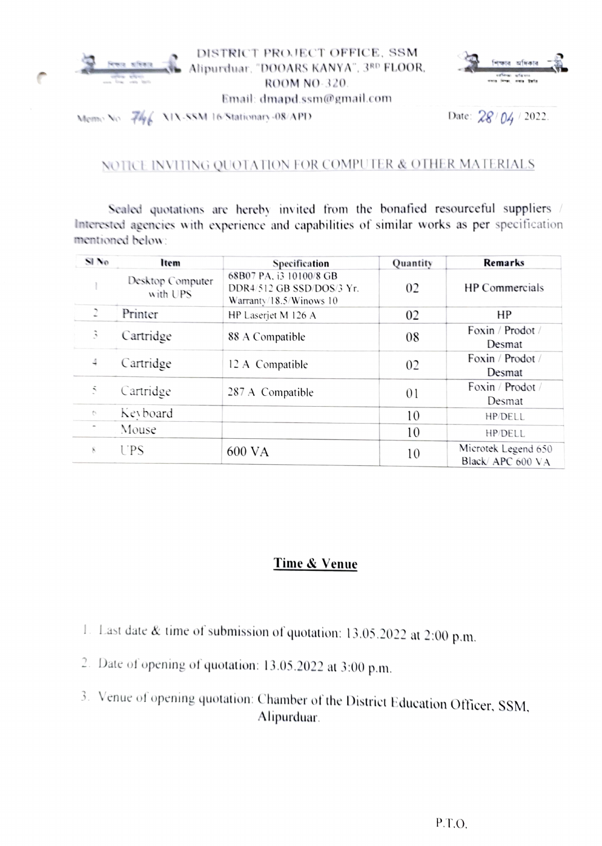



Memo No.  $\frac{74}{6}$  XIX-SSM 16 Stationary -08/APD Date:  $28/04/2022$ .

## NOTICE INVITING QUOTATION FOR COMPUTER & OTHER MATERIALS

Sealed quotations are hereby invited from the bonafied resourceful suppliers / Interested agencies with experience and capabilities of similar works as per specification mentioned below:

| SI No          | Item                         | Specification                                                                   | Quantity | <b>Remarks</b>                          |
|----------------|------------------------------|---------------------------------------------------------------------------------|----------|-----------------------------------------|
|                | Desktop Computer<br>with UPS | 68B07 PA, i3 10100/8 GB<br>DDR4/512 GB SSD/DOS/3 Yr.<br>Warranty/18.5/Winows 10 | 02       | <b>HP</b> Commercials                   |
| $\overline{2}$ | Printer                      | HP Laserjet M 126 A                                                             | 02       | HP                                      |
| 3              | Cartridge                    | 88 A Compatible                                                                 | 08       | Foxin / Prodot /<br>Desmat              |
| 4              | Cartridge                    | 12 A Compatible                                                                 | 02       | Foxin / Prodot /<br>Desmat              |
| 5              | Cartridge                    | 287 A Compatible                                                                | 01       | Foxin / Prodot /<br>Desmat              |
| $\sigma$       | Keyboard                     |                                                                                 | 10       | HP/DELL                                 |
|                | Mouse                        |                                                                                 | 10       | HP/DELL                                 |
| 8.             | UPS                          | 600 VA                                                                          | 10       | Microtek Legend 650<br>Black/APC 600 VA |

## Time & Venue

- Last date& time of submission of quotation: 13.05.2022 at 2:00 p.m.
- 2. Date of opening of quotation: 13.05.2022 at 3:00 p.m.
- 3 Venue of opening quotation: Chamber of the Distriet Edueation Otticer, SSM, Alipurduar